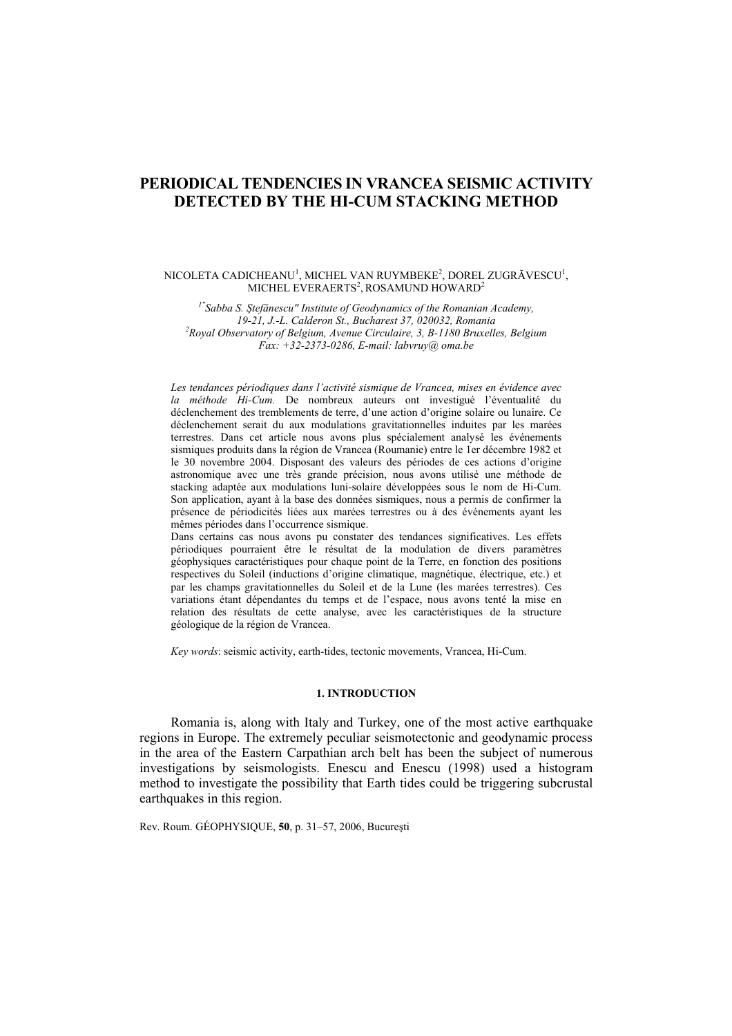# **PERIODICAL TENDENCIES IN VRANCEA SEISMIC ACTIVITY DETECTED BY THE HI-CUM STACKING METHOD**

#### $\rm NICOLETA$   $\rm CADICHEANU^{1},$   $\rm MICHEL$   $\rm VAN$   $\rm RUYMBEKE^{2},$   $\rm DOREL$   $\rm ZUGR\AA VESCU^{1},$ MICHEL EVERAERTS<sup>2</sup>, ROSAMUND HOWARD<sup>2</sup>

*1"Sabba S. Ştefănescu" Institute of Geodynamics of the Romanian Academy, 19-21, J.-L. Calderon St., Bucharest 37, 020032, Romania 2 Royal Observatory of Belgium, Avenue Circulaire, 3, B-1180 Bruxelles, Belgium Fax: +32-2373-0286, E-mail: labvruy@ oma.be* 

*Les tendances périodiques dans l'activité sismique de Vrancea, mises en évidence avec la méthode Hi-Cum.* De nombreux auteurs ont investigué l'éventualité du déclenchement des tremblements de terre, d'une action d'origine solaire ou lunaire. Ce déclenchement serait du aux modulations gravitationnelles induites par les marées terrestres. Dans cet article nous avons plus spécialement analysé les événements sismiques produits dans la région de Vrancea (Roumanie) entre le 1er décembre 1982 et le 30 novembre 2004. Disposant des valeurs des périodes de ces actions d'origine astronomique avec une très grande précision, nous avons utilisé une méthode de stacking adaptée aux modulations luni-solaire développées sous le nom de Hi-Cum. Son application, ayant à la base des données sismiques, nous a permis de confirmer la présence de périodicités liées aux marées terrestres ou à des événements ayant les mêmes périodes dans l'occurrence sismique.

Dans certains cas nous avons pu constater des tendances significatives. Les effets périodiques pourraient être le résultat de la modulation de divers paramètres géophysiques caractéristiques pour chaque point de la Terre, en fonction des positions respectives du Soleil (inductions d'origine climatique, magnétique, électrique, etc.) et par les champs gravitationnelles du Soleil et de la Lune (les marées terrestres). Ces variations étant dépendantes du temps et de l'espace, nous avons tenté la mise en relation des résultats de cette analyse, avec les caractéristiques de la structure géologique de la région de Vrancea.

*Key words*: seismic activity, earth-tides, tectonic movements, Vrancea, Hi-Cum.

# **1. INTRODUCTION**

Romania is, along with Italy and Turkey, one of the most active earthquake regions in Europe. The extremely peculiar seismotectonic and geodynamic process in the area of the Eastern Carpathian arch belt has been the subject of numerous investigations by seismologists. Enescu and Enescu (1998) used a histogram method to investigate the possibility that Earth tides could be triggering subcrustal earthquakes in this region.

Rev. Roum. GÉOPHYSIQUE, **50**, p. 31–57, 2006, Bucureşti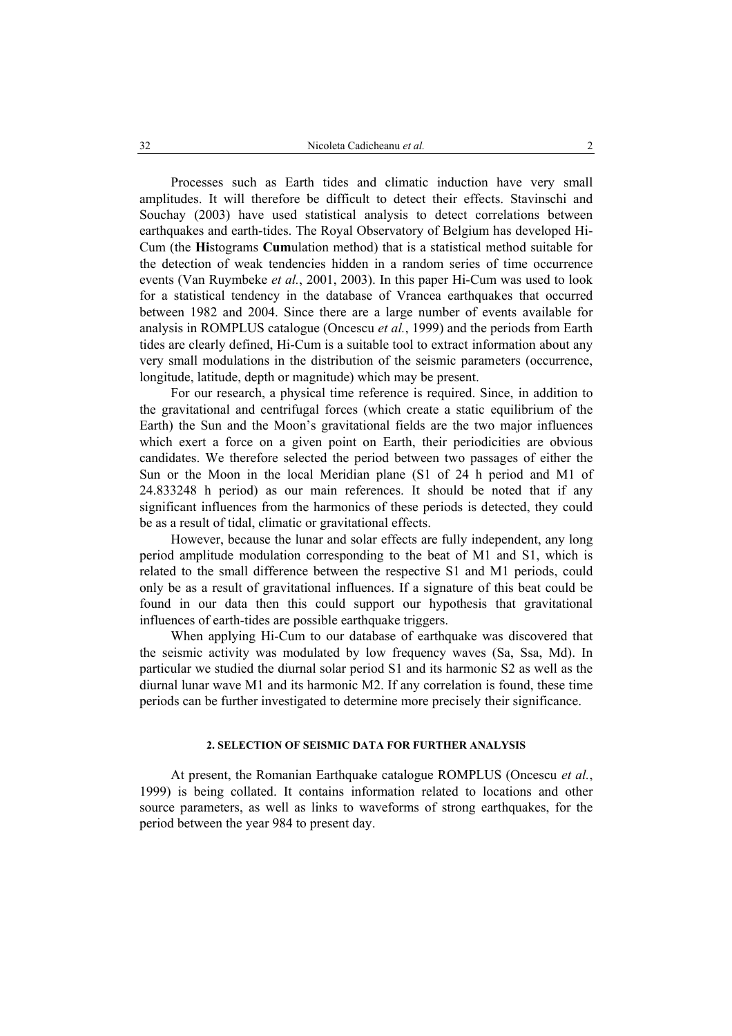Processes such as Earth tides and climatic induction have very small amplitudes. It will therefore be difficult to detect their effects. Stavinschi and Souchay (2003) have used statistical analysis to detect correlations between earthquakes and earth-tides. The Royal Observatory of Belgium has developed Hi-Cum (the **Hi**stograms **Cum**ulation method) that is a statistical method suitable for the detection of weak tendencies hidden in a random series of time occurrence events (Van Ruymbeke *et al.*, 2001, 2003). In this paper Hi-Cum was used to look for a statistical tendency in the database of Vrancea earthquakes that occurred between 1982 and 2004. Since there are a large number of events available for analysis in ROMPLUS catalogue (Oncescu *et al.*, 1999) and the periods from Earth tides are clearly defined, Hi-Cum is a suitable tool to extract information about any very small modulations in the distribution of the seismic parameters (occurrence, longitude, latitude, depth or magnitude) which may be present.

For our research, a physical time reference is required. Since, in addition to the gravitational and centrifugal forces (which create a static equilibrium of the Earth) the Sun and the Moon's gravitational fields are the two major influences which exert a force on a given point on Earth, their periodicities are obvious candidates. We therefore selected the period between two passages of either the Sun or the Moon in the local Meridian plane (S1 of 24 h period and M1 of 24.833248 h period) as our main references. It should be noted that if any significant influences from the harmonics of these periods is detected, they could be as a result of tidal, climatic or gravitational effects.

However, because the lunar and solar effects are fully independent, any long period amplitude modulation corresponding to the beat of M1 and S1, which is related to the small difference between the respective S1 and M1 periods, could only be as a result of gravitational influences. If a signature of this beat could be found in our data then this could support our hypothesis that gravitational influences of earth-tides are possible earthquake triggers.

When applying Hi-Cum to our database of earthquake was discovered that the seismic activity was modulated by low frequency waves (Sa, Ssa, Md). In particular we studied the diurnal solar period S1 and its harmonic S2 as well as the diurnal lunar wave M1 and its harmonic M2. If any correlation is found, these time periods can be further investigated to determine more precisely their significance.

# **2. SELECTION OF SEISMIC DATA FOR FURTHER ANALYSIS**

At present, the Romanian Earthquake catalogue ROMPLUS (Oncescu *et al.*, 1999) is being collated. It contains information related to locations and other source parameters, as well as links to waveforms of strong earthquakes, for the period between the year 984 to present day.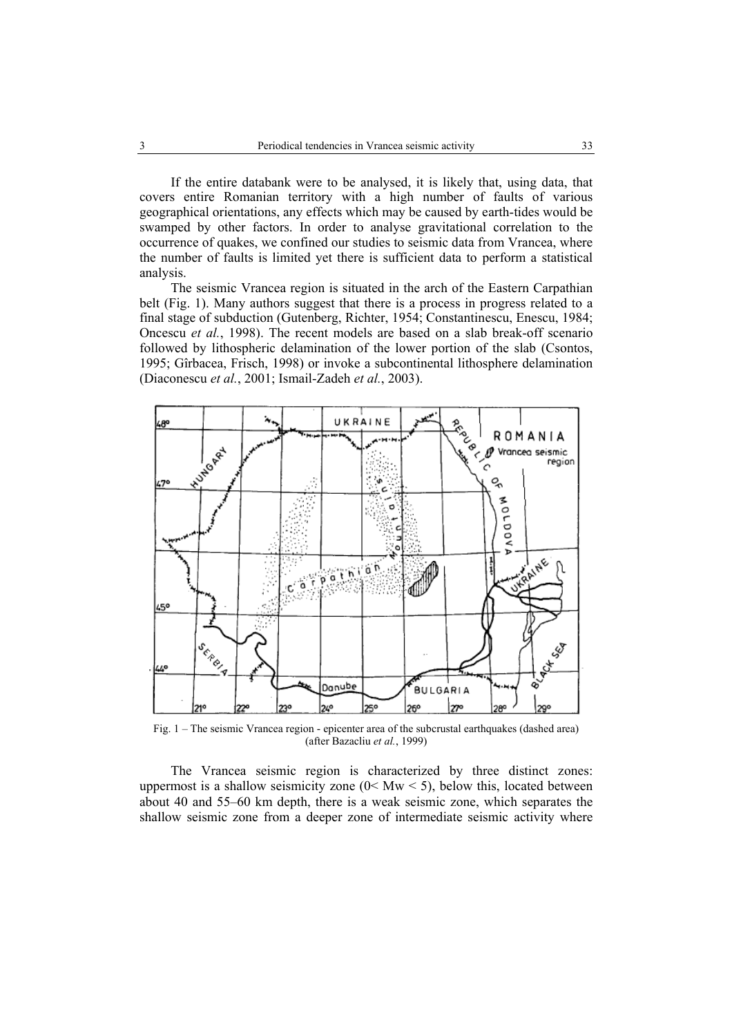If the entire databank were to be analysed, it is likely that, using data, that covers entire Romanian territory with a high number of faults of various geographical orientations, any effects which may be caused by earth-tides would be swamped by other factors. In order to analyse gravitational correlation to the occurrence of quakes, we confined our studies to seismic data from Vrancea, where the number of faults is limited yet there is sufficient data to perform a statistical analysis.

The seismic Vrancea region is situated in the arch of the Eastern Carpathian belt (Fig. 1). Many authors suggest that there is a process in progress related to a final stage of subduction (Gutenberg, Richter, 1954; Constantinescu, Enescu, 1984; Oncescu *et al.*, 1998). The recent models are based on a slab break-off scenario followed by lithospheric delamination of the lower portion of the slab (Csontos, 1995; Gîrbacea, Frisch, 1998) or invoke a subcontinental lithosphere delamination (Diaconescu *et al.*, 2001; Ismail-Zadeh *et al.*, 2003).



Fig. 1 – The seismic Vrancea region - epicenter area of the subcrustal earthquakes (dashed area) (after Bazacliu *et al.*, 1999)

The Vrancea seismic region is characterized by three distinct zones: uppermost is a shallow seismicity zone  $(0 < Mw < 5)$ , below this, located between about 40 and 55–60 km depth, there is a weak seismic zone, which separates the shallow seismic zone from a deeper zone of intermediate seismic activity where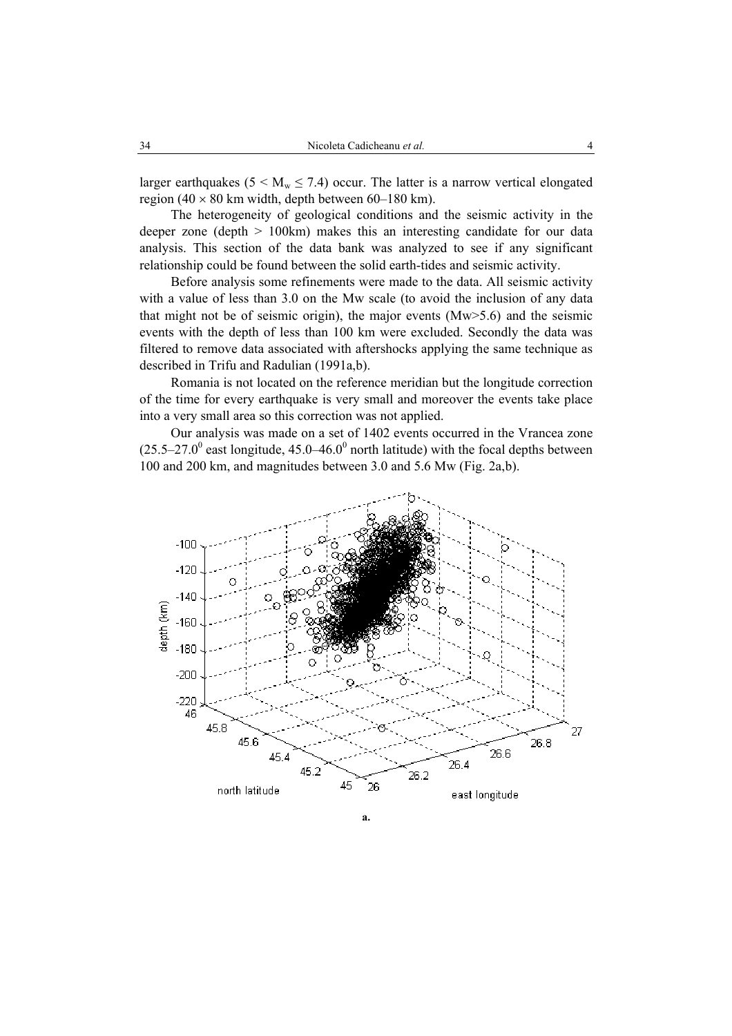larger earthquakes ( $5 < M_w \le 7.4$ ) occur. The latter is a narrow vertical elongated region (40  $\times$  80 km width, depth between 60–180 km).

The heterogeneity of geological conditions and the seismic activity in the deeper zone (depth > 100km) makes this an interesting candidate for our data analysis. This section of the data bank was analyzed to see if any significant relationship could be found between the solid earth-tides and seismic activity.

Before analysis some refinements were made to the data. All seismic activity with a value of less than 3.0 on the Mw scale (to avoid the inclusion of any data that might not be of seismic origin), the major events (Mw>5.6) and the seismic events with the depth of less than 100 km were excluded. Secondly the data was filtered to remove data associated with aftershocks applying the same technique as described in Trifu and Radulian (1991a,b).

Romania is not located on the reference meridian but the longitude correction of the time for every earthquake is very small and moreover the events take place into a very small area so this correction was not applied.

Our analysis was made on a set of 1402 events occurred in the Vrancea zone  $(25.5-27.0^{\circ}$  east longitude, 45.0–46.0<sup>°</sup> north latitude) with the focal depths between 100 and 200 km, and magnitudes between 3.0 and 5.6 Mw (Fig. 2a,b).

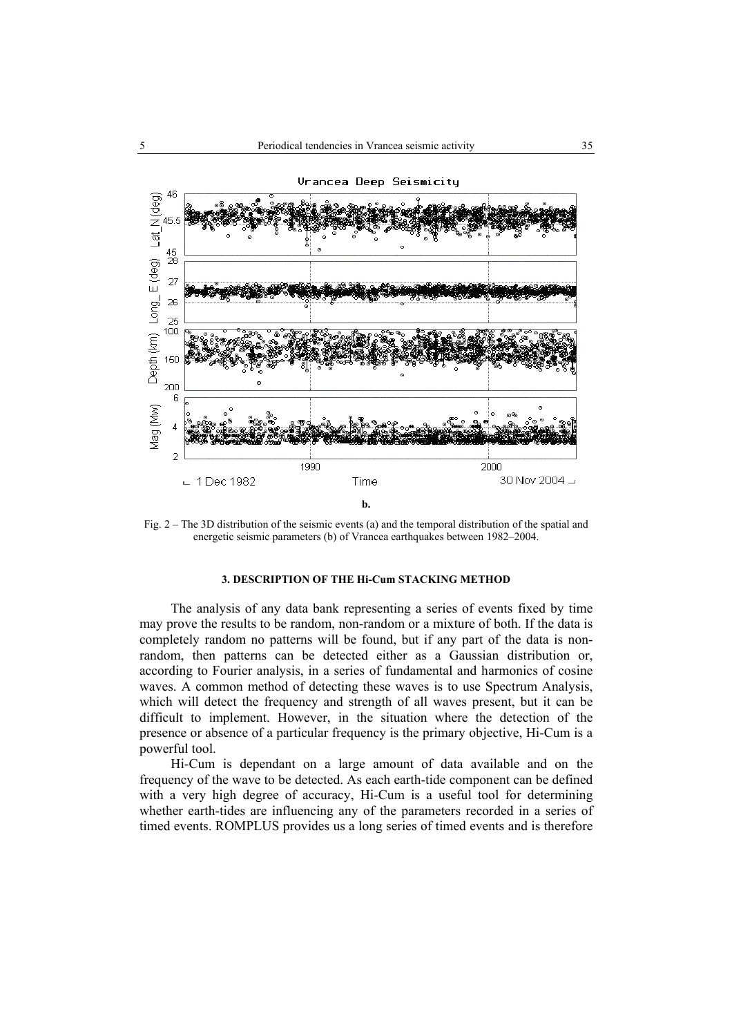

Fig. 2 – The 3D distribution of the seismic events (a) and the temporal distribution of the spatial and energetic seismic parameters (b) of Vrancea earthquakes between 1982–2004.

## **3. DESCRIPTION OF THE Hi-Cum STACKING METHOD**

 The analysis of any data bank representing a series of events fixed by time may prove the results to be random, non-random or a mixture of both. If the data is completely random no patterns will be found, but if any part of the data is nonrandom, then patterns can be detected either as a Gaussian distribution or, according to Fourier analysis, in a series of fundamental and harmonics of cosine waves. A common method of detecting these waves is to use Spectrum Analysis, which will detect the frequency and strength of all waves present, but it can be difficult to implement. However, in the situation where the detection of the presence or absence of a particular frequency is the primary objective, Hi-Cum is a powerful tool.

 Hi-Cum is dependant on a large amount of data available and on the frequency of the wave to be detected. As each earth-tide component can be defined with a very high degree of accuracy, Hi-Cum is a useful tool for determining whether earth-tides are influencing any of the parameters recorded in a series of timed events. ROMPLUS provides us a long series of timed events and is therefore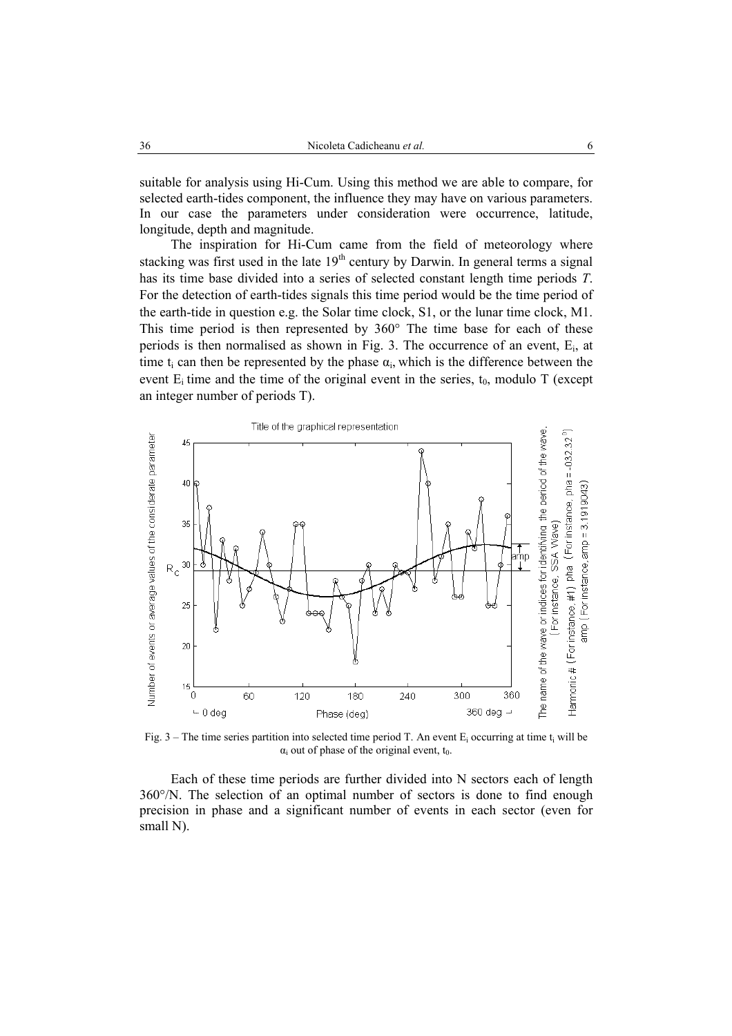suitable for analysis using Hi-Cum. Using this method we are able to compare, for selected earth-tides component, the influence they may have on various parameters. In our case the parameters under consideration were occurrence, latitude, longitude, depth and magnitude.

 The inspiration for Hi-Cum came from the field of meteorology where stacking was first used in the late  $19<sup>th</sup>$  century by Darwin. In general terms a signal has its time base divided into a series of selected constant length time periods *T*. For the detection of earth-tides signals this time period would be the time period of the earth-tide in question e.g. the Solar time clock, S1, or the lunar time clock, M1. This time period is then represented by 360° The time base for each of these periods is then normalised as shown in Fig. 3. The occurrence of an event,  $E_i$ , at time t<sub>i</sub> can then be represented by the phase  $\alpha_i$ , which is the difference between the event  $E_i$  time and the time of the original event in the series,  $t_0$ , modulo T (except an integer number of periods T).



Fig. 3 – The time series partition into selected time period T. An event  $E_i$  occurring at time  $t_i$  will be  $\alpha_i$  out of phase of the original event,  $t_0$ .

 Each of these time periods are further divided into N sectors each of length 360°/N. The selection of an optimal number of sectors is done to find enough precision in phase and a significant number of events in each sector (even for small N).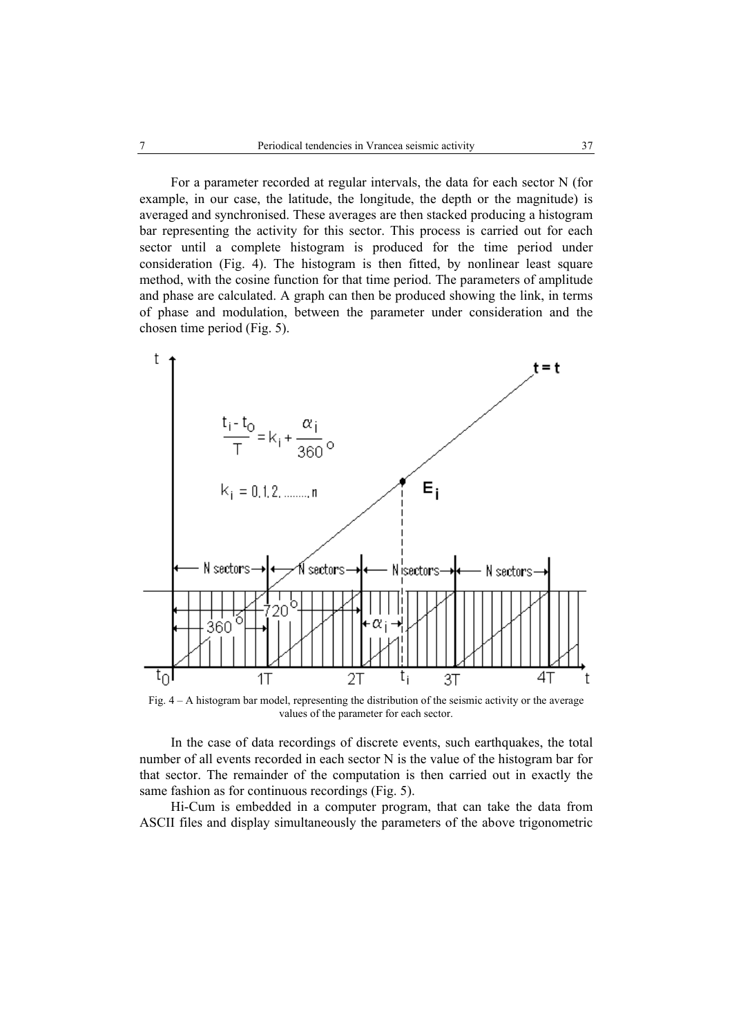For a parameter recorded at regular intervals, the data for each sector N (for example, in our case, the latitude, the longitude, the depth or the magnitude) is averaged and synchronised. These averages are then stacked producing a histogram bar representing the activity for this sector. This process is carried out for each sector until a complete histogram is produced for the time period under consideration (Fig. 4). The histogram is then fitted, by nonlinear least square method, with the cosine function for that time period. The parameters of amplitude and phase are calculated. A graph can then be produced showing the link, in terms of phase and modulation, between the parameter under consideration and the chosen time period (Fig. 5).



Fig. 4 – A histogram bar model, representing the distribution of the seismic activity or the average values of the parameter for each sector.

 In the case of data recordings of discrete events, such earthquakes, the total number of all events recorded in each sector N is the value of the histogram bar for that sector. The remainder of the computation is then carried out in exactly the same fashion as for continuous recordings (Fig. 5).

 Hi-Cum is embedded in a computer program, that can take the data from ASCII files and display simultaneously the parameters of the above trigonometric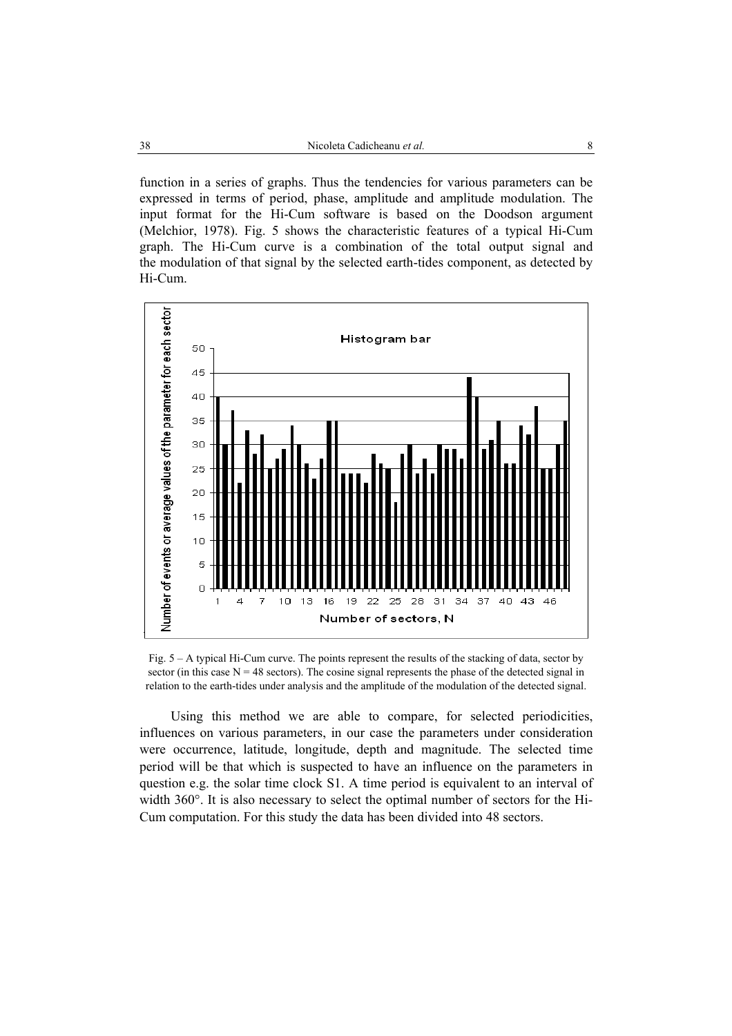function in a series of graphs. Thus the tendencies for various parameters can be expressed in terms of period, phase, amplitude and amplitude modulation. The input format for the Hi-Cum software is based on the Doodson argument (Melchior, 1978). Fig. 5 shows the characteristic features of a typical Hi-Cum graph. The Hi-Cum curve is a combination of the total output signal and the modulation of that signal by the selected earth-tides component, as detected by Hi-Cum.



Fig. 5 – A typical Hi-Cum curve. The points represent the results of the stacking of data, sector by sector (in this case  $N = 48$  sectors). The cosine signal represents the phase of the detected signal in relation to the earth-tides under analysis and the amplitude of the modulation of the detected signal.

 Using this method we are able to compare, for selected periodicities, influences on various parameters, in our case the parameters under consideration were occurrence, latitude, longitude, depth and magnitude. The selected time period will be that which is suspected to have an influence on the parameters in question e.g. the solar time clock S1. A time period is equivalent to an interval of width 360°. It is also necessary to select the optimal number of sectors for the Hi-Cum computation. For this study the data has been divided into 48 sectors.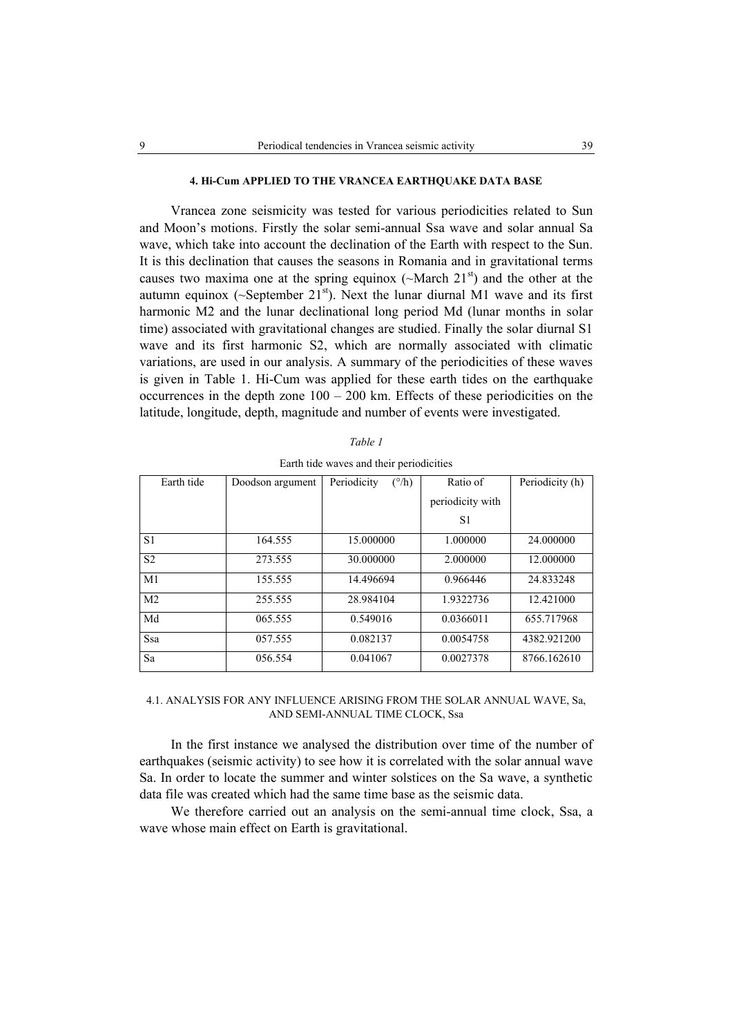#### **4. Hi-Cum APPLIED TO THE VRANCEA EARTHQUAKE DATA BASE**

Vrancea zone seismicity was tested for various periodicities related to Sun and Moon's motions. Firstly the solar semi-annual Ssa wave and solar annual Sa wave, which take into account the declination of the Earth with respect to the Sun. It is this declination that causes the seasons in Romania and in gravitational terms causes two maxima one at the spring equinox ( $\sim$ March 21<sup>st</sup>) and the other at the autumn equinox ( $\sim$ September 21<sup>st</sup>). Next the lunar diurnal M1 wave and its first harmonic M2 and the lunar declinational long period Md (lunar months in solar time) associated with gravitational changes are studied. Finally the solar diurnal S1 wave and its first harmonic S2, which are normally associated with climatic variations, are used in our analysis. A summary of the periodicities of these waves is given in Table 1. Hi-Cum was applied for these earth tides on the earthquake occurrences in the depth zone  $100 - 200$  km. Effects of these periodicities on the latitude, longitude, depth, magnitude and number of events were investigated.

| Earth tide     | Doodson argument | Periodicity<br>$(^{\circ}/h)$ | Ratio of         | Periodicity (h) |
|----------------|------------------|-------------------------------|------------------|-----------------|
|                |                  |                               | periodicity with |                 |
|                |                  |                               | S1               |                 |
| S <sub>1</sub> | 164.555          | 15.000000                     | 1.000000         | 24,000000       |
| S <sub>2</sub> | 273.555          | 30.000000                     | 2.000000         | 12.000000       |
| M1             | 155.555          | 14.496694                     | 0.966446         | 24.833248       |
| M <sub>2</sub> | 255.555          | 28.984104                     | 1.9322736        | 12.421000       |
| Md             | 065.555          | 0.549016                      | 0.0366011        | 655.717968      |
| Ssa            | 057.555          | 0.082137                      | 0.0054758        | 4382.921200     |
| Sa             | 056.554          | 0.041067                      | 0.0027378        | 8766.162610     |

*Table 1*  Earth tide waves and their periodicities

## 4.1. ANALYSIS FOR ANY INFLUENCE ARISING FROM THE SOLAR ANNUAL WAVE, Sa, AND SEMI-ANNUAL TIME CLOCK, Ssa

In the first instance we analysed the distribution over time of the number of earthquakes (seismic activity) to see how it is correlated with the solar annual wave Sa. In order to locate the summer and winter solstices on the Sa wave, a synthetic data file was created which had the same time base as the seismic data.

We therefore carried out an analysis on the semi-annual time clock, Ssa, a wave whose main effect on Earth is gravitational.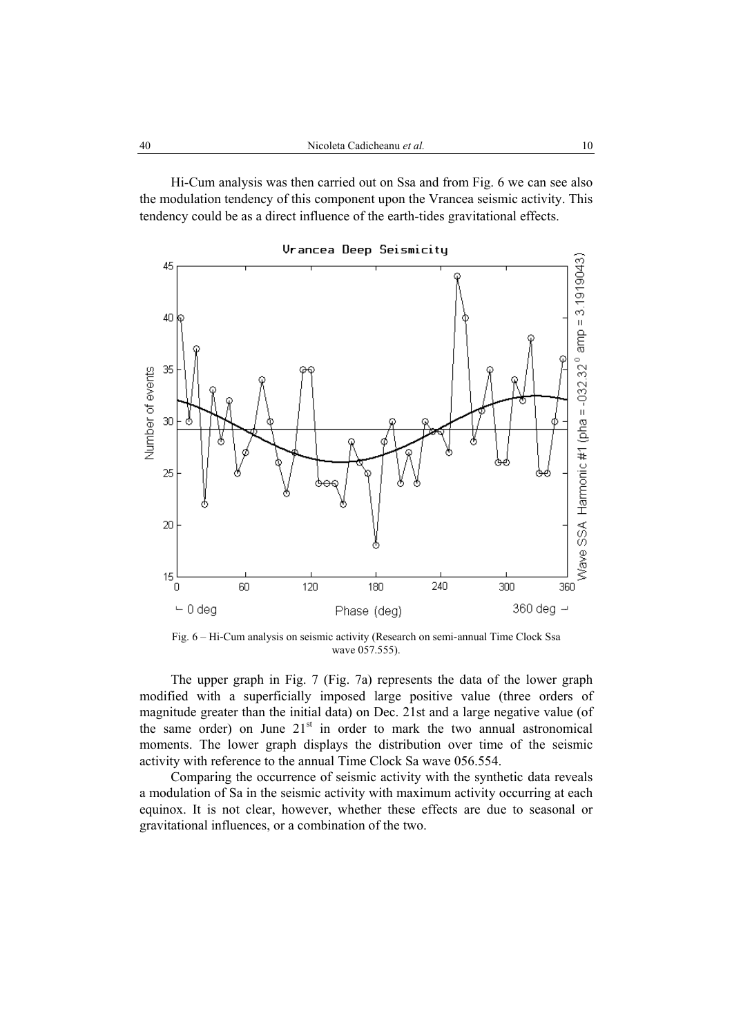Hi-Cum analysis was then carried out on Ssa and from Fig. 6 we can see also the modulation tendency of this component upon the Vrancea seismic activity. This tendency could be as a direct influence of the earth-tides gravitational effects.



Fig. 6 – Hi-Cum analysis on seismic activity (Research on semi-annual Time Clock Ssa wave 057.555).

The upper graph in Fig. 7 (Fig. 7a) represents the data of the lower graph modified with a superficially imposed large positive value (three orders of magnitude greater than the initial data) on Dec. 21st and a large negative value (of the same order) on June  $21<sup>st</sup>$  in order to mark the two annual astronomical moments. The lower graph displays the distribution over time of the seismic activity with reference to the annual Time Clock Sa wave 056.554.

Comparing the occurrence of seismic activity with the synthetic data reveals a modulation of Sa in the seismic activity with maximum activity occurring at each equinox. It is not clear, however, whether these effects are due to seasonal or gravitational influences, or a combination of the two.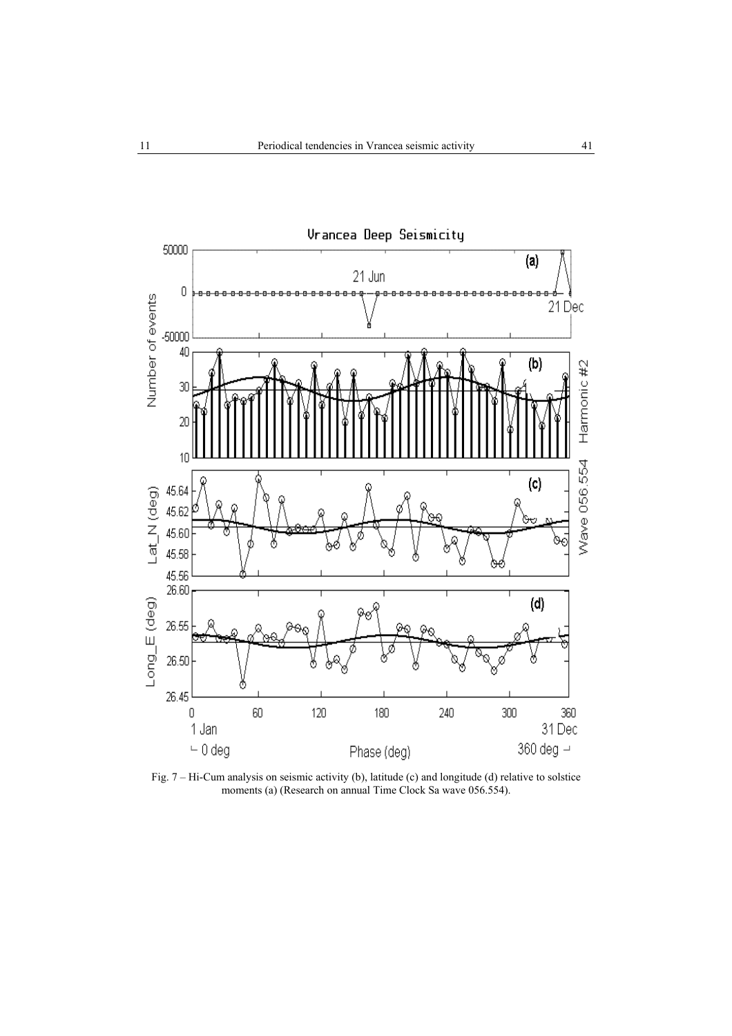

Fig. 7 – Hi-Cum analysis on seismic activity (b), latitude (c) and longitude (d) relative to solstice m analysis on selective activity (c), and all the Clock Sa wave 056.554).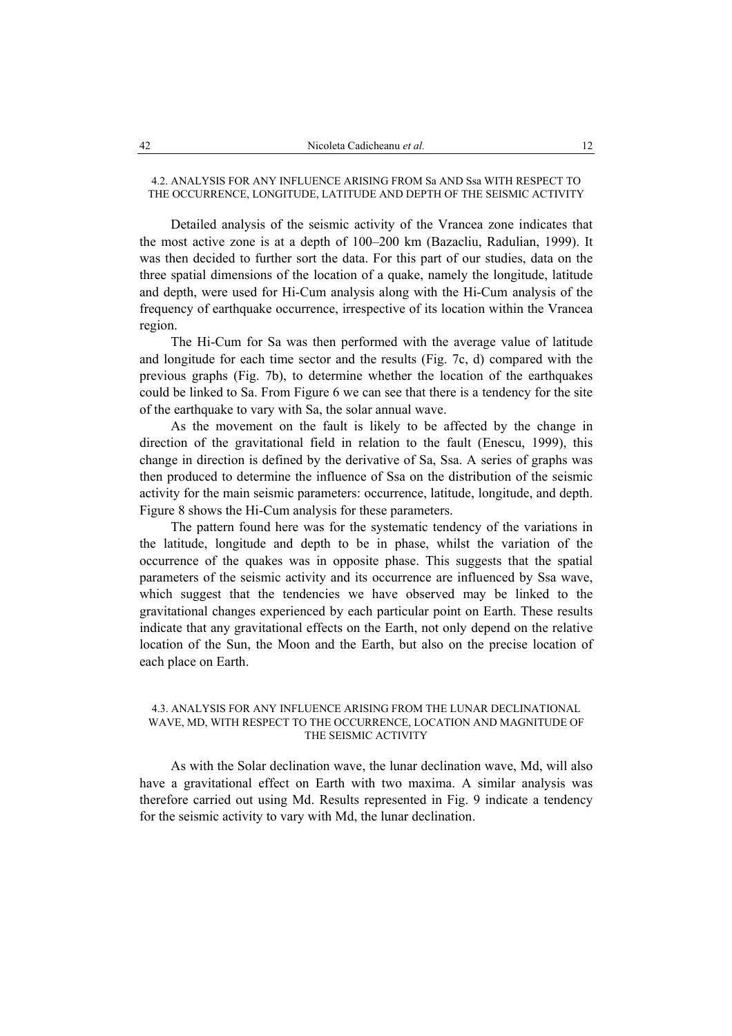# 4.2. ANALYSIS FOR ANY INFLUENCE ARISING FROM Sa AND Ssa WITH RESPECT TO THE OCCURRENCE, LONGITUDE, LATITUDE AND DEPTH OF THE SEISMIC ACTIVITY

Detailed analysis of the seismic activity of the Vrancea zone indicates that the most active zone is at a depth of 100–200 km (Bazacliu, Radulian, 1999). It was then decided to further sort the data. For this part of our studies, data on the three spatial dimensions of the location of a quake, namely the longitude, latitude and depth, were used for Hi-Cum analysis along with the Hi-Cum analysis of the frequency of earthquake occurrence, irrespective of its location within the Vrancea region.

The Hi-Cum for Sa was then performed with the average value of latitude and longitude for each time sector and the results (Fig. 7c, d) compared with the previous graphs (Fig. 7b), to determine whether the location of the earthquakes could be linked to Sa. From Figure 6 we can see that there is a tendency for the site of the earthquake to vary with Sa, the solar annual wave.

As the movement on the fault is likely to be affected by the change in direction of the gravitational field in relation to the fault (Enescu, 1999), this change in direction is defined by the derivative of Sa, Ssa. A series of graphs was then produced to determine the influence of Ssa on the distribution of the seismic activity for the main seismic parameters: occurrence, latitude, longitude, and depth. Figure 8 shows the Hi-Cum analysis for these parameters.

The pattern found here was for the systematic tendency of the variations in the latitude, longitude and depth to be in phase, whilst the variation of the occurrence of the quakes was in opposite phase. This suggests that the spatial parameters of the seismic activity and its occurrence are influenced by Ssa wave, which suggest that the tendencies we have observed may be linked to the gravitational changes experienced by each particular point on Earth. These results indicate that any gravitational effects on the Earth, not only depend on the relative location of the Sun, the Moon and the Earth, but also on the precise location of each place on Earth.

## 4.3. ANALYSIS FOR ANY INFLUENCE ARISING FROM THE LUNAR DECLINATIONAL WAVE, MD, WITH RESPECT TO THE OCCURRENCE, LOCATION AND MAGNITUDE OF THE SEISMIC ACTIVITY

As with the Solar declination wave, the lunar declination wave, Md, will also have a gravitational effect on Earth with two maxima. A similar analysis was therefore carried out using Md. Results represented in Fig. 9 indicate a tendency for the seismic activity to vary with Md, the lunar declination.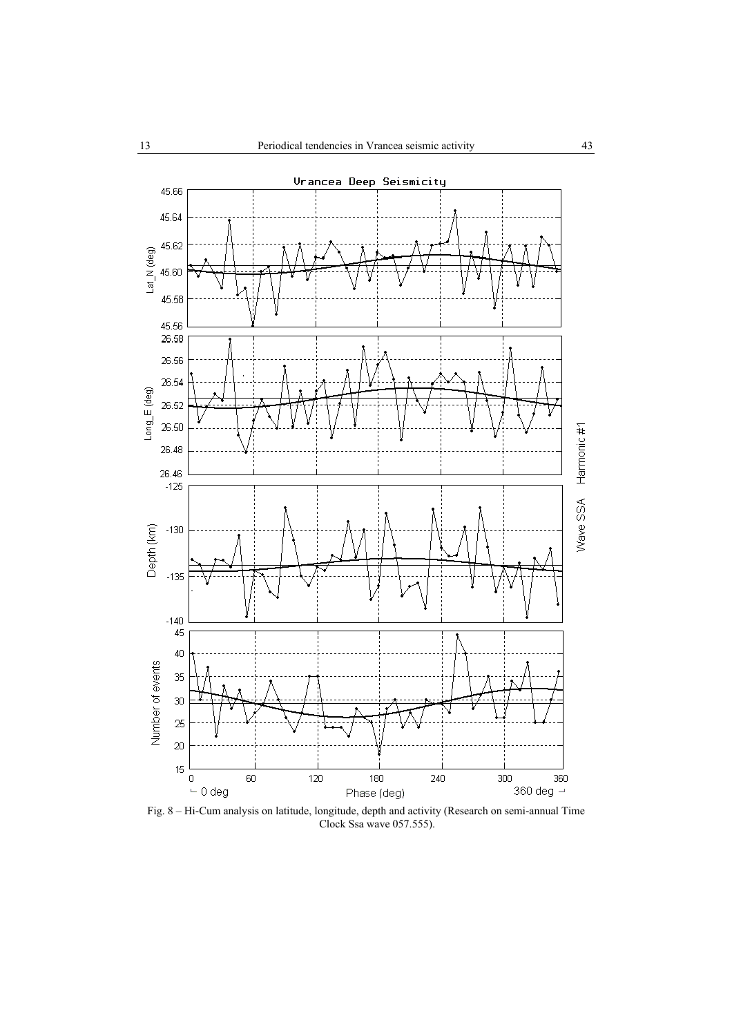

Fig. 8 – Hi-Cum analysis on latitude, longitude, depth and activity (Research on semi-annual Time Clock Ssa wave 057.555).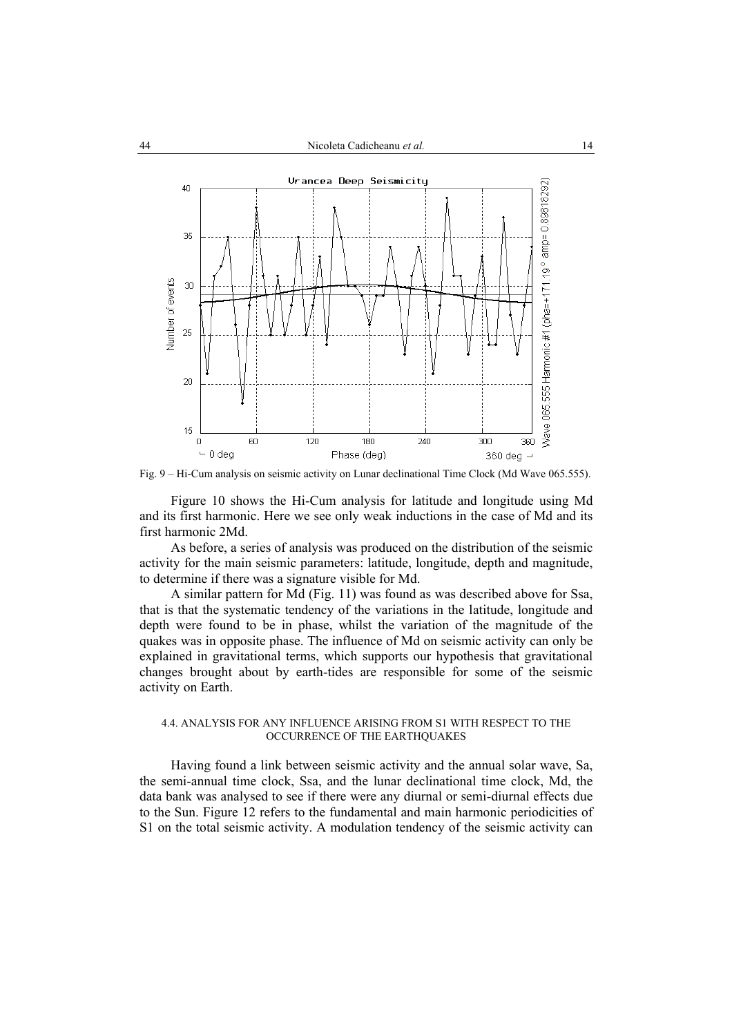

Fig. 9 – Hi-Cum analysis on seismic activity on Lunar declinational Time Clock (Md Wave 065.555).

Figure 10 shows the Hi-Cum analysis for latitude and longitude using Md and its first harmonic. Here we see only weak inductions in the case of Md and its first harmonic 2Md.

As before, a series of analysis was produced on the distribution of the seismic activity for the main seismic parameters: latitude, longitude, depth and magnitude, to determine if there was a signature visible for Md.

A similar pattern for Md (Fig. 11) was found as was described above for Ssa, that is that the systematic tendency of the variations in the latitude, longitude and depth were found to be in phase, whilst the variation of the magnitude of the quakes was in opposite phase. The influence of Md on seismic activity can only be explained in gravitational terms, which supports our hypothesis that gravitational changes brought about by earth-tides are responsible for some of the seismic activity on Earth.

#### 4.4. ANALYSIS FOR ANY INFLUENCE ARISING FROM S1 WITH RESPECT TO THE OCCURRENCE OF THE EARTHQUAKES

Having found a link between seismic activity and the annual solar wave, Sa, the semi-annual time clock, Ssa, and the lunar declinational time clock, Md, the data bank was analysed to see if there were any diurnal or semi-diurnal effects due to the Sun. Figure 12 refers to the fundamental and main harmonic periodicities of S1 on the total seismic activity. A modulation tendency of the seismic activity can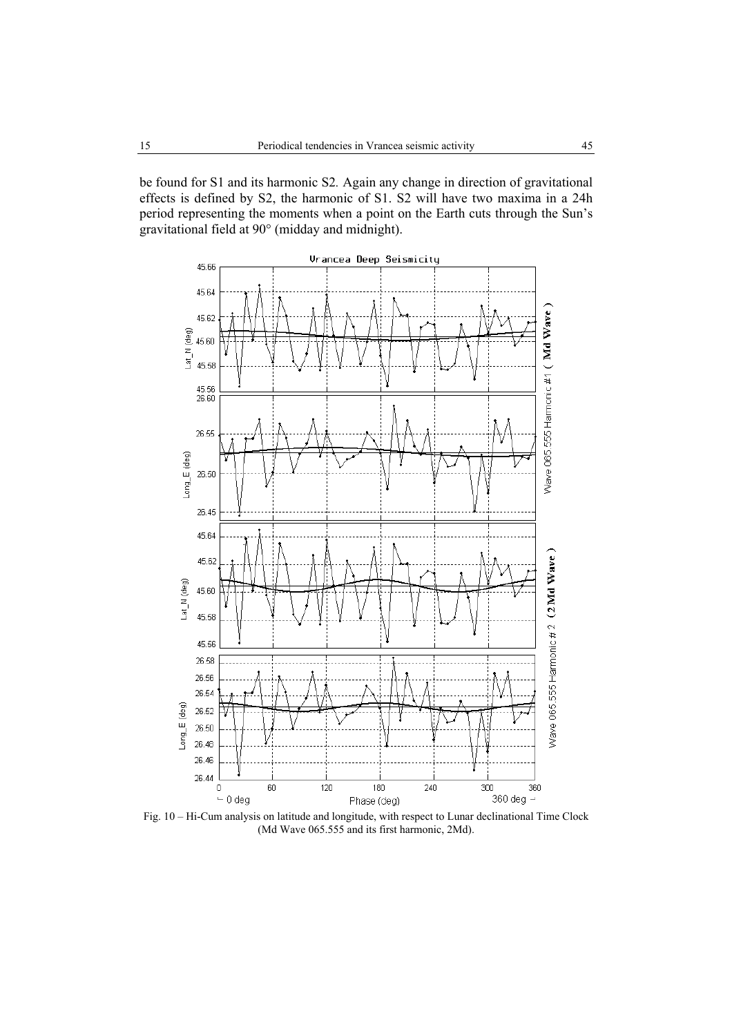be found for S1 and its harmonic S2*.* Again any change in direction of gravitational effects is defined by S2, the harmonic of S1. S2 will have two maxima in a 24h period representing the moments when a point on the Earth cuts through the Sun's gravitational field at 90° (midday and midnight).



Fig. 10 – Hi-Cum analysis on latitude and longitude, with respect to Lunar declinational Time Clock (Md Wave 065.555 and its first harmonic, 2Md).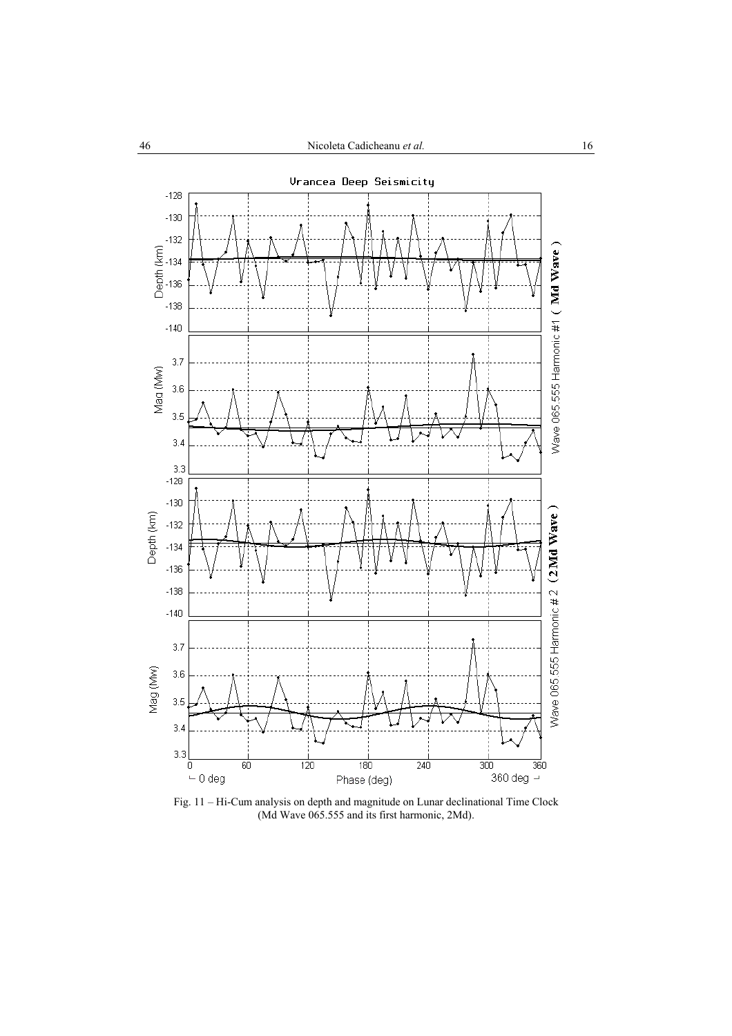

Fig. 11 – Hi-Cum analysis on depth and magnitude on Lunar declinational Time Clock (Md Wave 065.555 and its first harmonic, 2Md).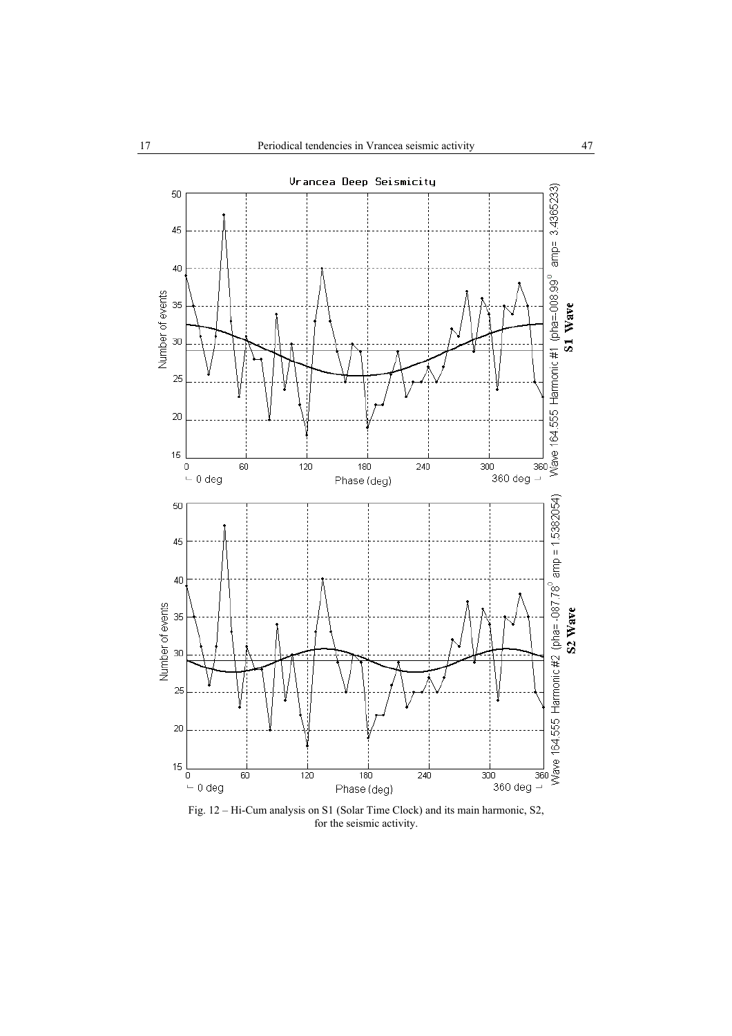

Fig. 12 – Hi-Cum analysis on S1 (Solar Time Clock) and its main harmonic, S2, for the seismic activity.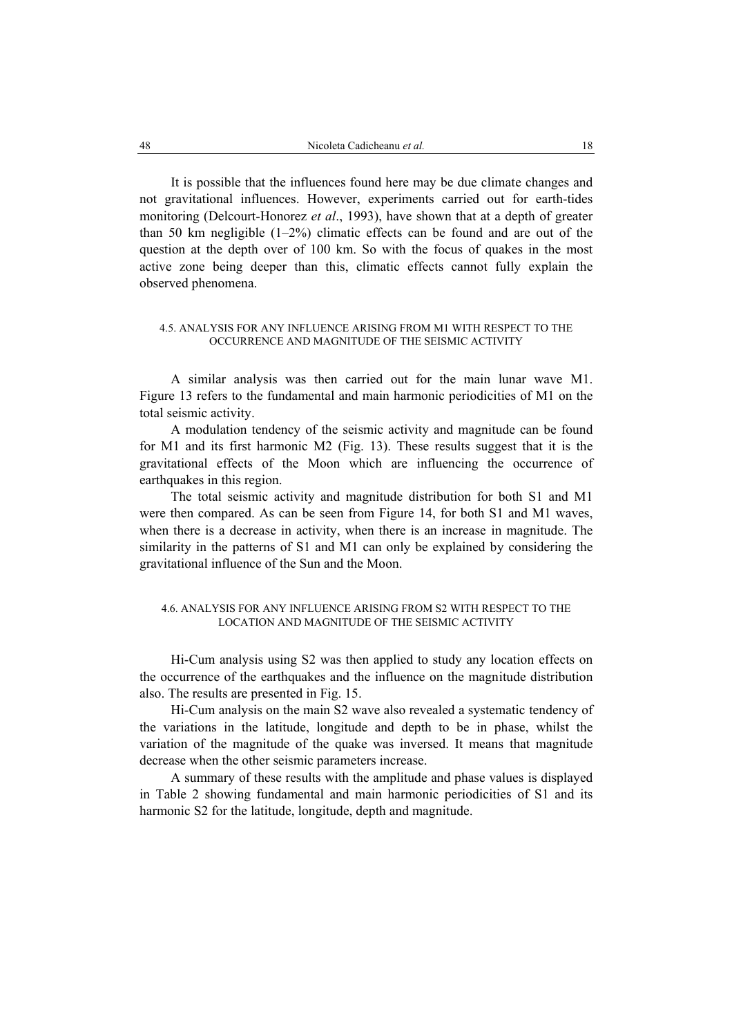It is possible that the influences found here may be due climate changes and not gravitational influences. However, experiments carried out for earth-tides monitoring (Delcourt-Honorez *et al*., 1993), have shown that at a depth of greater than 50 km negligible (1–2%) climatic effects can be found and are out of the question at the depth over of 100 km. So with the focus of quakes in the most active zone being deeper than this, climatic effects cannot fully explain the observed phenomena.

#### 4.5. ANALYSIS FOR ANY INFLUENCE ARISING FROM M1 WITH RESPECT TO THE OCCURRENCE AND MAGNITUDE OF THE SEISMIC ACTIVITY

A similar analysis was then carried out for the main lunar wave M1. Figure 13 refers to the fundamental and main harmonic periodicities of M1 on the total seismic activity.

A modulation tendency of the seismic activity and magnitude can be found for M1 and its first harmonic M2 (Fig. 13). These results suggest that it is the gravitational effects of the Moon which are influencing the occurrence of earthquakes in this region.

The total seismic activity and magnitude distribution for both S1 and M1 were then compared. As can be seen from Figure 14, for both S1 and M1 waves, when there is a decrease in activity, when there is an increase in magnitude. The similarity in the patterns of S1 and M1 can only be explained by considering the gravitational influence of the Sun and the Moon.

## 4.6. ANALYSIS FOR ANY INFLUENCE ARISING FROM S2 WITH RESPECT TO THE LOCATION AND MAGNITUDE OF THE SEISMIC ACTIVITY

Hi-Cum analysis using S2 was then applied to study any location effects on the occurrence of the earthquakes and the influence on the magnitude distribution also. The results are presented in Fig. 15.

Hi-Cum analysis on the main S2 wave also revealed a systematic tendency of the variations in the latitude, longitude and depth to be in phase, whilst the variation of the magnitude of the quake was inversed. It means that magnitude decrease when the other seismic parameters increase.

A summary of these results with the amplitude and phase values is displayed in Table 2 showing fundamental and main harmonic periodicities of S1 and its harmonic S2 for the latitude, longitude, depth and magnitude.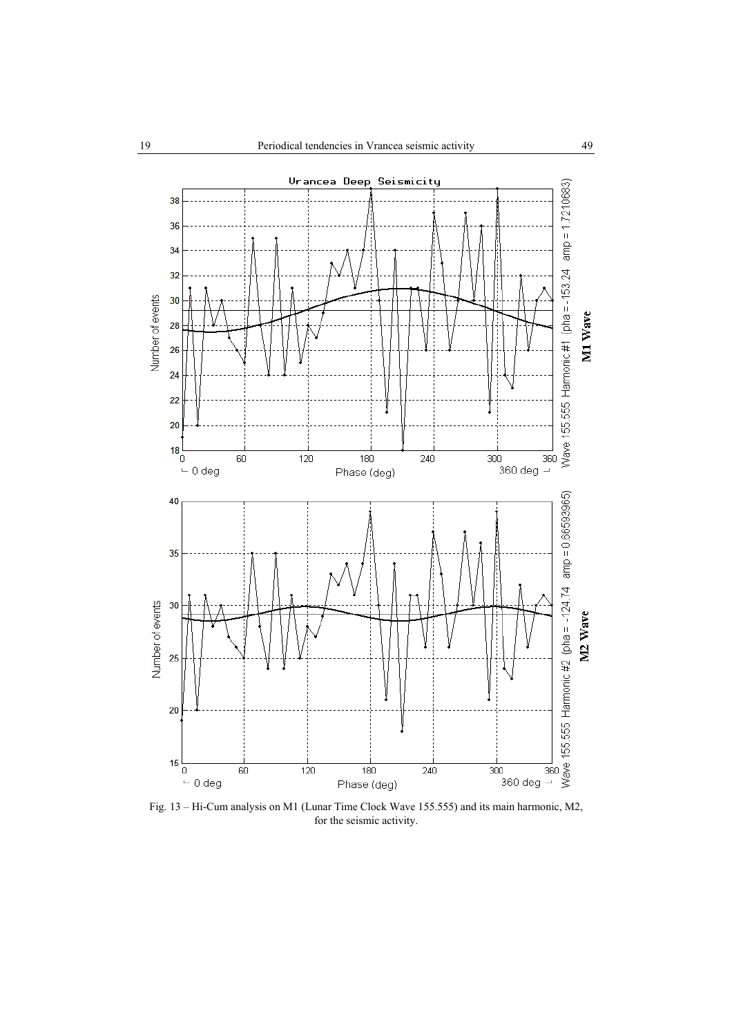

Fig. 13 – Hi-Cum analysis on M1 (Lunar Time Clock Wave 155.555) and its main harmonic, M2, for the seismic activity.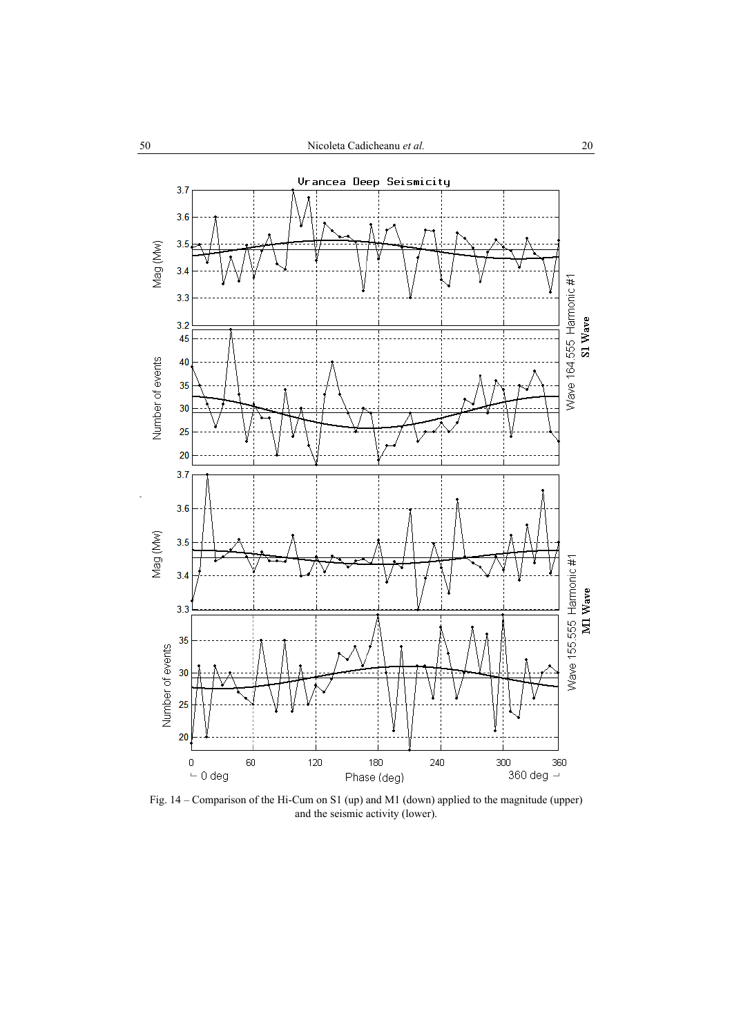

Fig. 14 – Comparison of the Hi-Cum on S1 (up) and M1 (down) applied to the magnitude (upper) and the seismic activity (lower).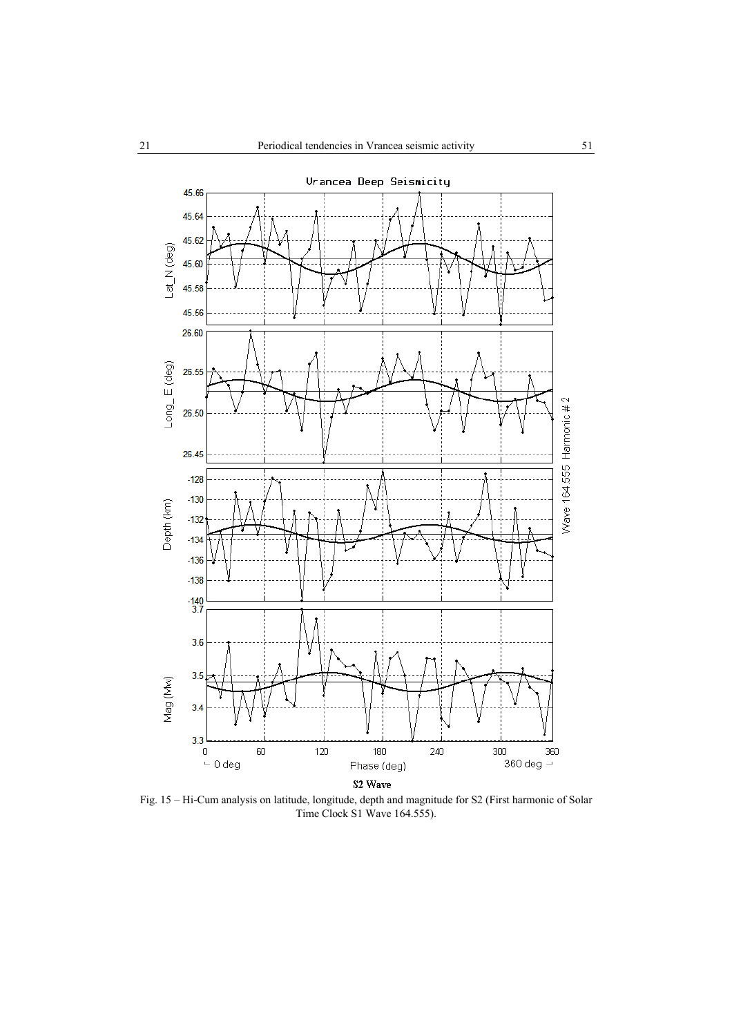

Fig. 15 – Hi-Cum analysis on latitude, longitude, depth and magnitude for S2 (First harmonic of Solar Time Clock S1 Wave 164.555).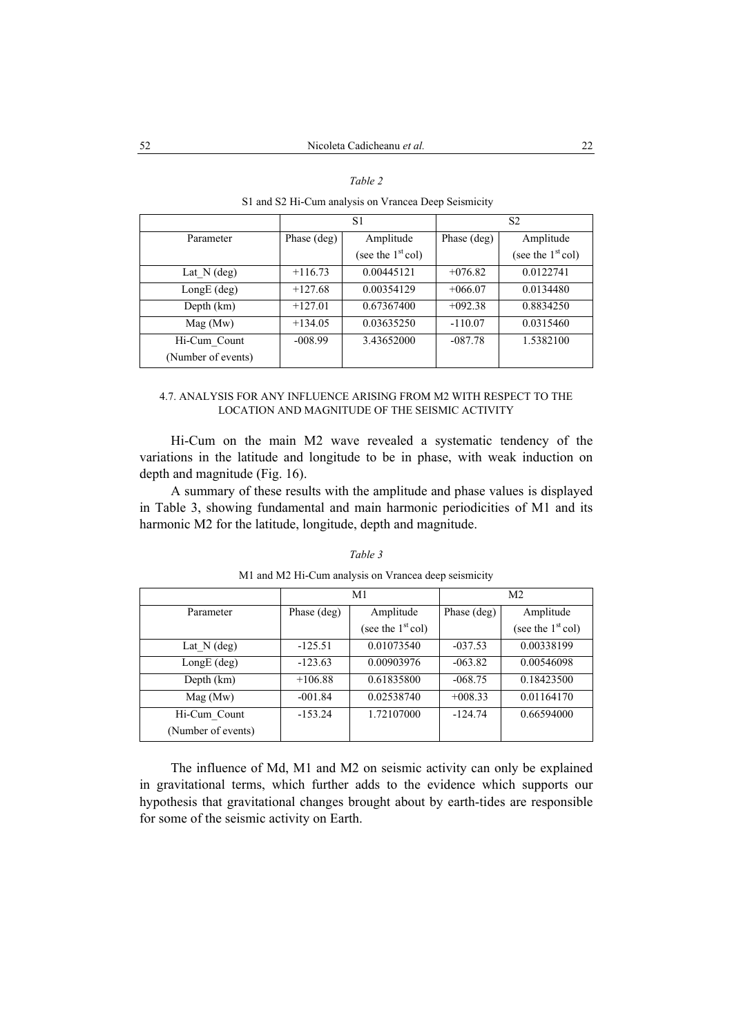S1 and S2 Hi-Cum analysis on Vrancea Deep Seismicity

|                                    | S <sub>1</sub> |                                  | S2          |                                  |
|------------------------------------|----------------|----------------------------------|-------------|----------------------------------|
| Parameter                          | Phase (deg)    | Amplitude<br>(see the $1st$ col) | Phase (deg) | Amplitude<br>(see the $1st$ col) |
| Lat $N$ (deg)                      | $+116.73$      | 0.00445121                       | $+076.82$   | 0.0122741                        |
| $LongE$ (deg)                      | $+127.68$      | 0.00354129                       | $+066.07$   | 0.0134480                        |
| Depth (km)                         | $+127.01$      | 0.67367400                       | $+092.38$   | 0.8834250                        |
| Mag(Mw)                            | $+134.05$      | 0.03635250                       | $-110.07$   | 0.0315460                        |
| Hi-Cum Count<br>(Number of events) | $-008.99$      | 3.43652000                       | $-087.78$   | 1.5382100                        |

## 4.7. ANALYSIS FOR ANY INFLUENCE ARISING FROM M2 WITH RESPECT TO THE LOCATION AND MAGNITUDE OF THE SEISMIC ACTIVITY

Hi-Cum on the main M2 wave revealed a systematic tendency of the variations in the latitude and longitude to be in phase, with weak induction on depth and magnitude (Fig. 16).

A summary of these results with the amplitude and phase values is displayed in Table 3, showing fundamental and main harmonic periodicities of M1 and its harmonic M2 for the latitude, longitude, depth and magnitude.

|--|--|

| M1 and M2 Hi-Cum analysis on Vrancea deep seismicity |  |  |  |
|------------------------------------------------------|--|--|--|
|                                                      |  |  |  |

|                                    | M <sub>1</sub> |                                  | M <sub>2</sub> |                                  |
|------------------------------------|----------------|----------------------------------|----------------|----------------------------------|
| Parameter                          | Phase (deg)    | Amplitude<br>(see the $1st$ col) | Phase (deg)    | Amplitude<br>(see the $1st$ col) |
|                                    |                |                                  |                |                                  |
| Lat $N$ (deg)                      | $-125.51$      | 0.01073540                       | $-037.53$      | 0.00338199                       |
| $LongE$ (deg)                      | $-123.63$      | 0.00903976                       | $-063.82$      | 0.00546098                       |
| Depth (km)                         | $+106.88$      | 0.61835800                       | $-068.75$      | 0.18423500                       |
| Mag(Mw)                            | $-001.84$      | 0.02538740                       | $+008.33$      | 0.01164170                       |
| Hi-Cum Count<br>(Number of events) | $-153.24$      | 1.72107000                       | $-124.74$      | 0.66594000                       |

The influence of Md, M1 and M2 on seismic activity can only be explained in gravitational terms, which further adds to the evidence which supports our hypothesis that gravitational changes brought about by earth-tides are responsible for some of the seismic activity on Earth.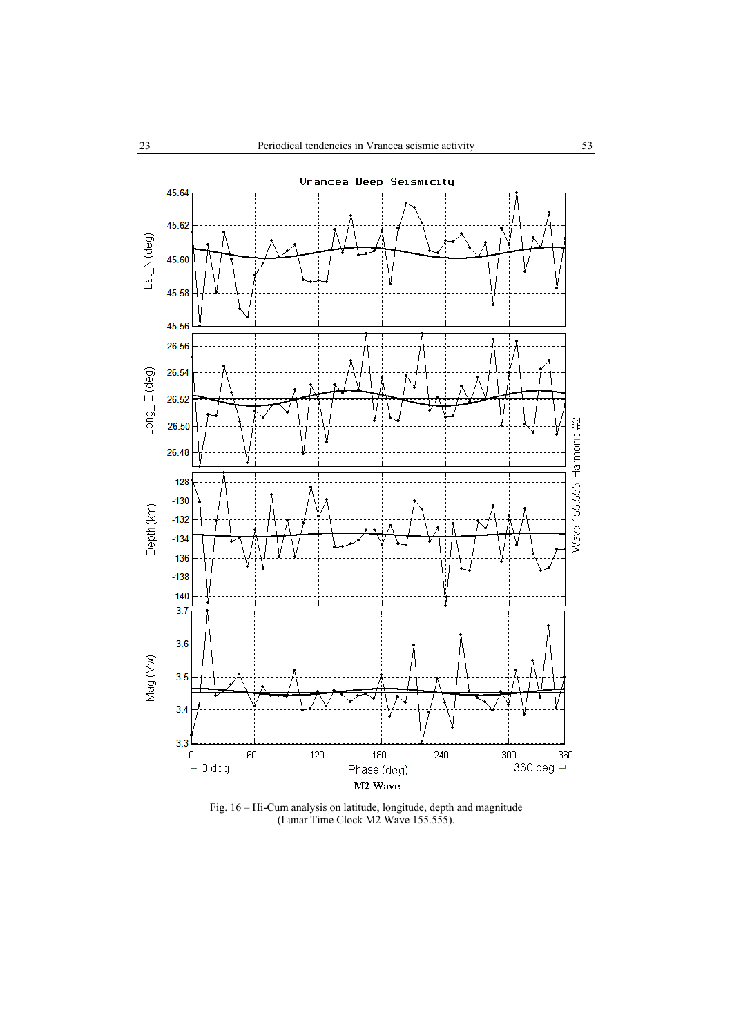

Fig. 16 – Hi-Cum analysis on latitude, longitude, depth and magnitude (Lunar Time Clock M2 Wave 155.555).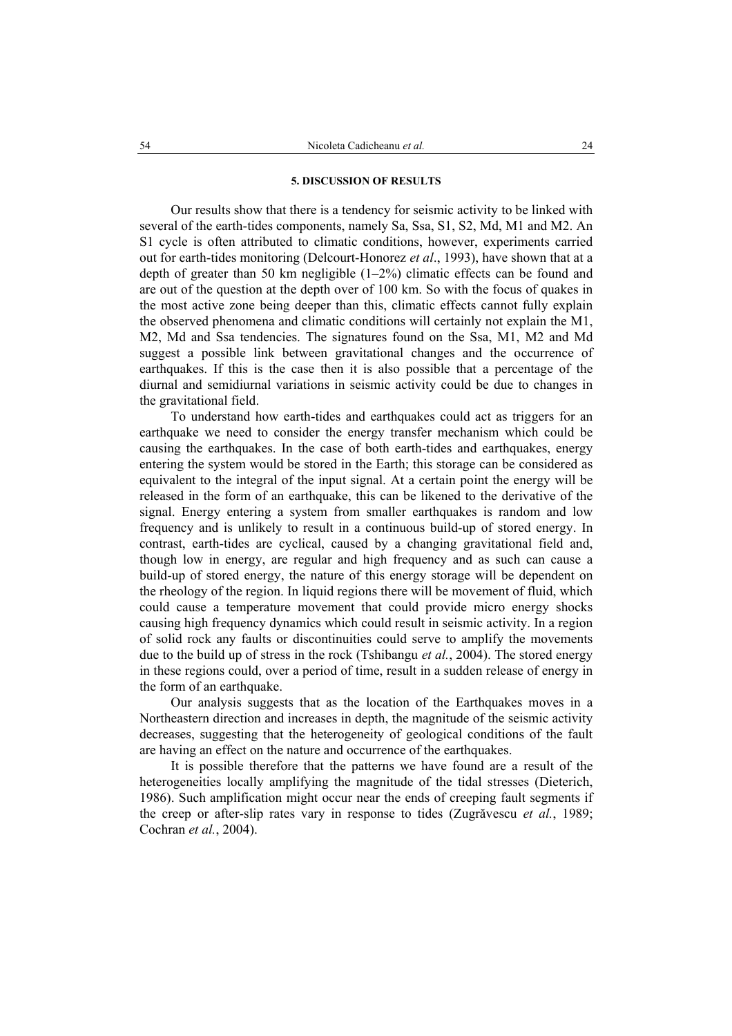#### **5. DISCUSSION OF RESULTS**

Our results show that there is a tendency for seismic activity to be linked with several of the earth-tides components, namely Sa, Ssa, S1, S2, Md, M1 and M2. An S1 cycle is often attributed to climatic conditions, however, experiments carried out for earth-tides monitoring (Delcourt-Honorez *et al*., 1993), have shown that at a depth of greater than 50 km negligible  $(1-2\%)$  climatic effects can be found and are out of the question at the depth over of 100 km. So with the focus of quakes in the most active zone being deeper than this, climatic effects cannot fully explain the observed phenomena and climatic conditions will certainly not explain the M1, M2, Md and Ssa tendencies. The signatures found on the Ssa, M1, M2 and Md suggest a possible link between gravitational changes and the occurrence of earthquakes. If this is the case then it is also possible that a percentage of the diurnal and semidiurnal variations in seismic activity could be due to changes in the gravitational field.

To understand how earth-tides and earthquakes could act as triggers for an earthquake we need to consider the energy transfer mechanism which could be causing the earthquakes. In the case of both earth-tides and earthquakes, energy entering the system would be stored in the Earth; this storage can be considered as equivalent to the integral of the input signal. At a certain point the energy will be released in the form of an earthquake, this can be likened to the derivative of the signal. Energy entering a system from smaller earthquakes is random and low frequency and is unlikely to result in a continuous build-up of stored energy. In contrast, earth-tides are cyclical, caused by a changing gravitational field and, though low in energy, are regular and high frequency and as such can cause a build-up of stored energy, the nature of this energy storage will be dependent on the rheology of the region. In liquid regions there will be movement of fluid, which could cause a temperature movement that could provide micro energy shocks causing high frequency dynamics which could result in seismic activity. In a region of solid rock any faults or discontinuities could serve to amplify the movements due to the build up of stress in the rock (Tshibangu *et al.*, 2004). The stored energy in these regions could, over a period of time, result in a sudden release of energy in the form of an earthquake.

Our analysis suggests that as the location of the Earthquakes moves in a Northeastern direction and increases in depth, the magnitude of the seismic activity decreases, suggesting that the heterogeneity of geological conditions of the fault are having an effect on the nature and occurrence of the earthquakes.

It is possible therefore that the patterns we have found are a result of the heterogeneities locally amplifying the magnitude of the tidal stresses (Dieterich, 1986). Such amplification might occur near the ends of creeping fault segments if the creep or after-slip rates vary in response to tides (Zugrăvescu *et al.*, 1989; Cochran *et al.*, 2004).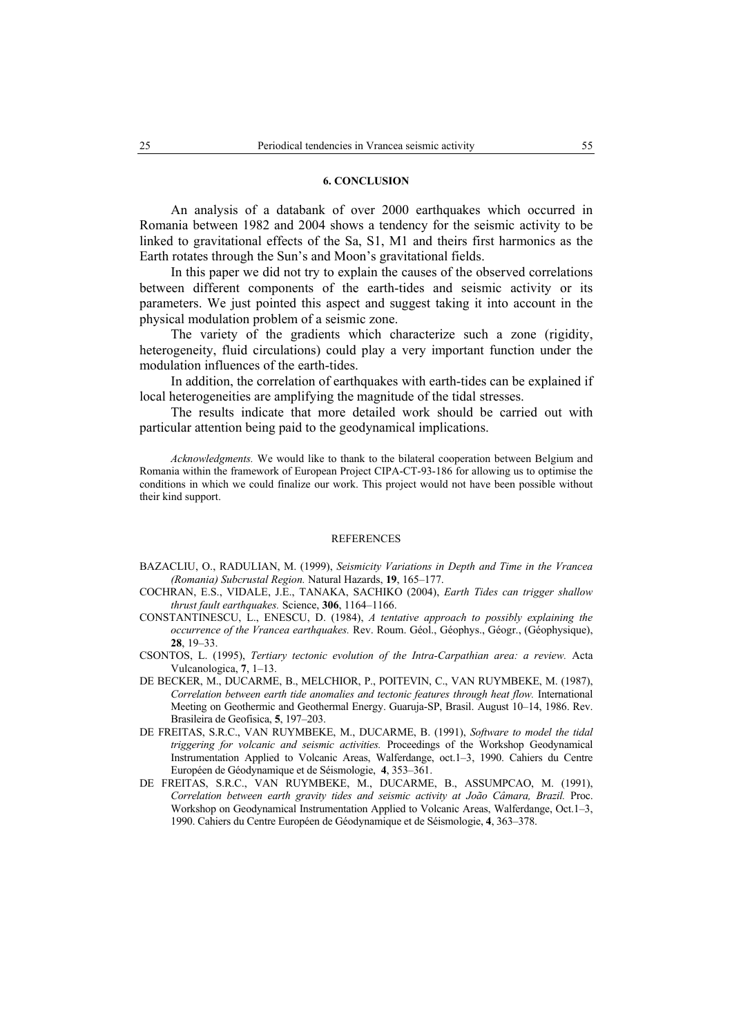#### **6. CONCLUSION**

An analysis of a databank of over 2000 earthquakes which occurred in Romania between 1982 and 2004 shows a tendency for the seismic activity to be linked to gravitational effects of the Sa, S1, M1 and theirs first harmonics as the Earth rotates through the Sun's and Moon's gravitational fields.

In this paper we did not try to explain the causes of the observed correlations between different components of the earth-tides and seismic activity or its parameters. We just pointed this aspect and suggest taking it into account in the physical modulation problem of a seismic zone.

The variety of the gradients which characterize such a zone (rigidity, heterogeneity, fluid circulations) could play a very important function under the modulation influences of the earth-tides.

In addition, the correlation of earthquakes with earth-tides can be explained if local heterogeneities are amplifying the magnitude of the tidal stresses.

The results indicate that more detailed work should be carried out with particular attention being paid to the geodynamical implications.

*Acknowledgments.* We would like to thank to the bilateral cooperation between Belgium and Romania within the framework of European Project CIPA-CT-93-186 for allowing us to optimise the conditions in which we could finalize our work. This project would not have been possible without their kind support.

#### **REFERENCES**

- BAZACLIU, O., RADULIAN, M. (1999), *Seismicity Variations in Depth and Time in the Vrancea (Romania) Subcrustal Region.* Natural Hazards, **19**, 165–177.
- COCHRAN, E.S., VIDALE, J.E., TANAKA, SACHIKO (2004), *Earth Tides can trigger shallow thrust fault earthquakes.* Science, **306**, 1164–1166.
- CONSTANTINESCU, L., ENESCU, D. (1984), *A tentative approach to possibly explaining the occurrence of the Vrancea earthquakes.* Rev. Roum. Géol., Géophys., Géogr., (Géophysique), **28**, 19–33.
- CSONTOS, L. (1995), *Tertiary tectonic evolution of the Intra-Carpathian area: a review.* Acta Vulcanologica, **7**, 1–13.
- DE BECKER, M., DUCARME, B., MELCHIOR, P., POITEVIN, C., VAN RUYMBEKE, M. (1987), *Correlation between earth tide anomalies and tectonic features through heat flow.* International Meeting on Geothermic and Geothermal Energy. Guaruja-SP, Brasil. August 10–14, 1986. Rev. Brasileira de Geofisica, **5**, 197–203.
- DE FREITAS, S.R.C., VAN RUYMBEKE, M., DUCARME, B. (1991), *Software to model the tidal triggering for volcanic and seismic activities.* Proceedings of the Workshop Geodynamical Instrumentation Applied to Volcanic Areas, Walferdange, oct.1–3, 1990. Cahiers du Centre Européen de Géodynamique et de Séismologie, **4**, 353–361.
- DE FREITAS, S.R.C., VAN RUYMBEKE, M., DUCARME, B., ASSUMPCAO, M. (1991), *Correlation between earth gravity tides and seismic activity at João Câmara, Brazil.* Proc. Workshop on Geodynamical Instrumentation Applied to Volcanic Areas, Walferdange, Oct.1–3, 1990. Cahiers du Centre Européen de Géodynamique et de Séismologie, **4**, 363–378.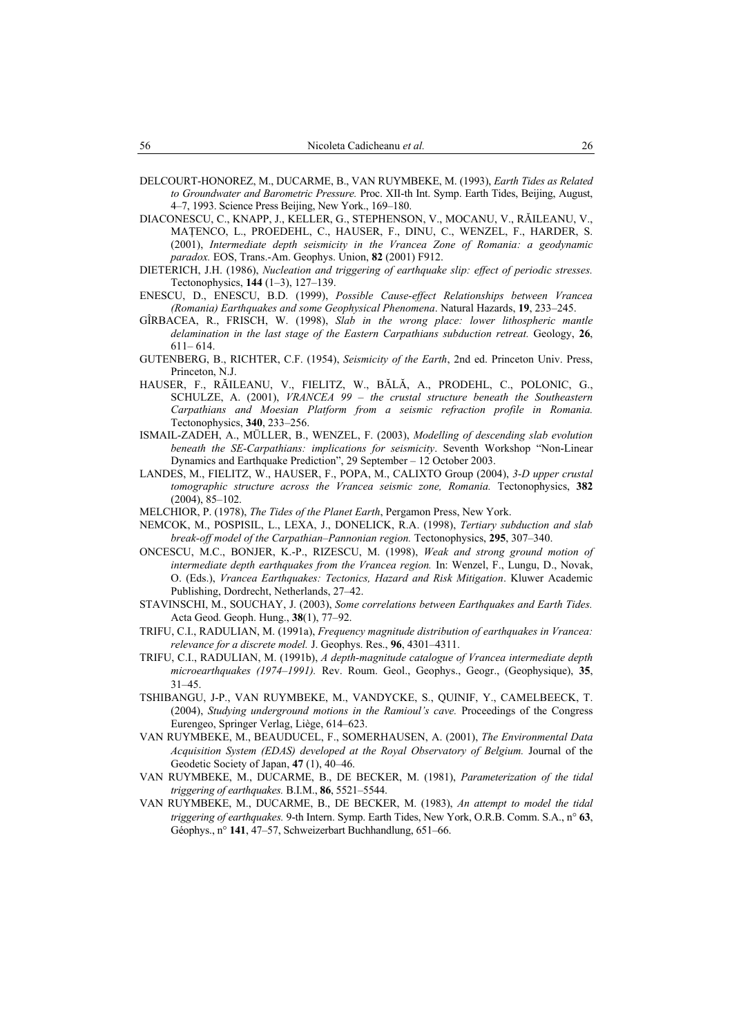- DELCOURT-HONOREZ, M., DUCARME, B., VAN RUYMBEKE, M. (1993), *Earth Tides as Related to Groundwater and Barometric Pressure.* Proc. XII-th Int. Symp. Earth Tides, Beijing, August, 4–7, 1993. Science Press Beijing, New York., 169–180.
- DIACONESCU, C., KNAPP, J., KELLER, G., STEPHENSON, V., MOCANU, V., RĂILEANU, V., MAŢENCO, L., PROEDEHL, C., HAUSER, F., DINU, C., WENZEL, F., HARDER, S. (2001), *Intermediate depth seismicity in the Vrancea Zone of Romania: a geodynamic paradox.* EOS, Trans.-Am. Geophys. Union, **82** (2001) F912.
- DIETERICH, J.H. (1986), *Nucleation and triggering of earthquake slip: effect of periodic stresses.* Tectonophysics, **144** (1–3), 127–139.
- ENESCU, D., ENESCU, B.D. (1999), *Possible Cause-effect Relationships between Vrancea (Romania) Earthquakes and some Geophysical Phenomena*. Natural Hazards, **19**, 233–245.
- GÎRBACEA, R., FRISCH, W. (1998), *Slab in the wrong place: lower lithospheric mantle delamination in the last stage of the Eastern Carpathians subduction retreat.* Geology, **26**, 611– 614.
- GUTENBERG, B., RICHTER, C.F. (1954), *Seismicity of the Earth*, 2nd ed. Princeton Univ. Press, Princeton, N.J.
- HAUSER, F., RĂILEANU, V., FIELITZ, W., BĂLĂ, A., PRODEHL, C., POLONIC, G., SCHULZE, A. (2001), *VRANCEA 99 – the crustal structure beneath the Southeastern Carpathians and Moesian Platform from a seismic refraction profile in Romania.* Tectonophysics, **340**, 233–256.
- ISMAIL-ZADEH, A., MÜLLER, B., WENZEL, F. (2003), *Modelling of descending slab evolution beneath the SE-Carpathians: implications for seismicity*. Seventh Workshop "Non-Linear Dynamics and Earthquake Prediction", 29 September – 12 October 2003.
- LANDES, M., FIELITZ, W., HAUSER, F., POPA, M., CALIXTO Group (2004), *3-D upper crustal tomographic structure across the Vrancea seismic zone, Romania.* Tectonophysics, **382** (2004), 85–102.
- MELCHIOR, P. (1978), *The Tides of the Planet Earth*, Pergamon Press, New York.
- NEMCOK, M., POSPISIL, L., LEXA, J., DONELICK, R.A. (1998), *Tertiary subduction and slab break-off model of the Carpathian–Pannonian region.* Tectonophysics, **295**, 307–340.
- ONCESCU, M.C., BONJER, K.-P., RIZESCU, M. (1998), *Weak and strong ground motion of intermediate depth earthquakes from the Vrancea region.* In: Wenzel, F., Lungu, D., Novak, O. (Eds.), *Vrancea Earthquakes: Tectonics, Hazard and Risk Mitigation*. Kluwer Academic Publishing, Dordrecht, Netherlands, 27–42.
- STAVINSCHI, M., SOUCHAY, J. (2003), *Some correlations between Earthquakes and Earth Tides.* Acta Geod. Geoph. Hung., **38**(1), 77–92.
- TRIFU, C.I., RADULIAN, M. (1991a), *Frequency magnitude distribution of earthquakes in Vrancea: relevance for a discrete model.* J. Geophys. Res., **96**, 4301–4311.
- TRIFU, C.I., RADULIAN, M. (1991b), *A depth-magnitude catalogue of Vrancea intermediate depth microearthquakes (1974–1991).* Rev. Roum. Geol., Geophys., Geogr., (Geophysique), **35**, 31–45.
- TSHIBANGU, J-P., VAN RUYMBEKE, M., VANDYCKE, S., QUINIF, Y., CAMELBEECK, T. (2004), *Studying underground motions in the Ramioul's cave.* Proceedings of the Congress Eurengeo, Springer Verlag, Liège, 614–623.
- VAN RUYMBEKE, M., BEAUDUCEL, F., SOMERHAUSEN, A. (2001), *The Environmental Data Acquisition System (EDAS) developed at the Royal Observatory of Belgium.* Journal of the Geodetic Society of Japan, **47** (1), 40–46.
- VAN RUYMBEKE, M., DUCARME, B., DE BECKER, M. (1981), *Parameterization of the tidal triggering of earthquakes.* B.I.M., **86**, 5521–5544.
- VAN RUYMBEKE, M., DUCARME, B., DE BECKER, M. (1983), *An attempt to model the tidal triggering of earthquakes.* 9-th Intern. Symp. Earth Tides, New York, O.R.B. Comm. S.A., n° **63**, Géophys., n° **141**, 47–57, Schweizerbart Buchhandlung, 651–66.